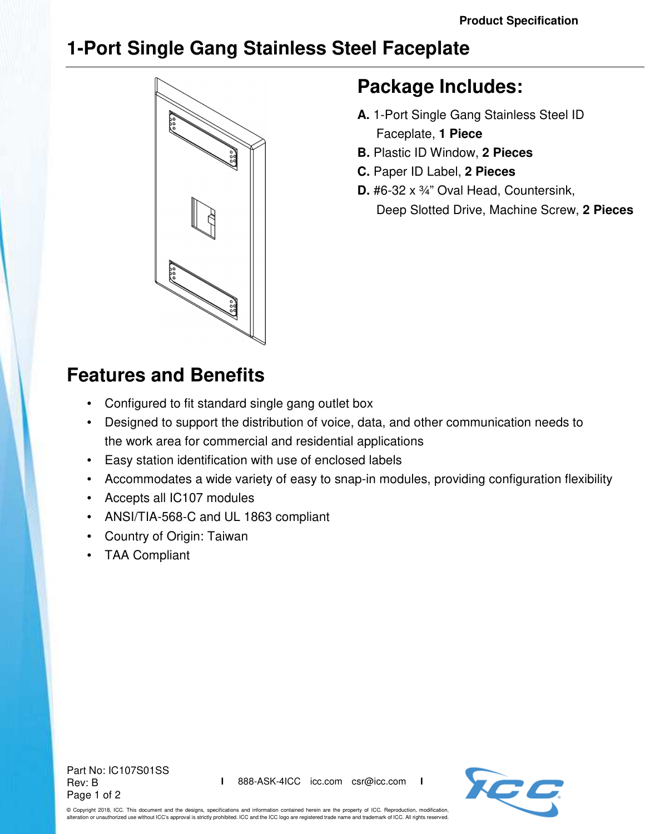## **1-Port Single Gang Stainless Steel Faceplate**



## **Package Includes:**

- **A.** 1-Port Single Gang Stainless Steel ID Faceplate, **1 Piece**
- **B.** Plastic ID Window, **2 Pieces**
- **C.** Paper ID Label, **2 Pieces**
- **D.** #6-32 x ¾" Oval Head, Countersink, Deep Slotted Drive, Machine Screw, **2 Pieces**

## **Features and Benefits**

- Configured to fit standard single gang outlet box
- Designed to support the distribution of voice, data, and other communication needs to the work area for commercial and residential applications
- Easy station identification with use of enclosed labels
- Accommodates a wide variety of easy to snap-in modules, providing configuration flexibility
- Accepts all IC107 modules
- ANSI/TIA-568-C and UL 1863 compliant
- Country of Origin: Taiwan
- TAA Compliant

Part No: IC107S01SS Rev: B Page 1 of 2



© Copyright 2018, ICC. This document and the designs, specifications and information contained herein are the property of ICC. Reproduction, modification, alteration or unauthorized use without ICC's approval is strictly prohibited. ICC and the ICC logo are registered trade name and trademark of ICC. All rights reserved.